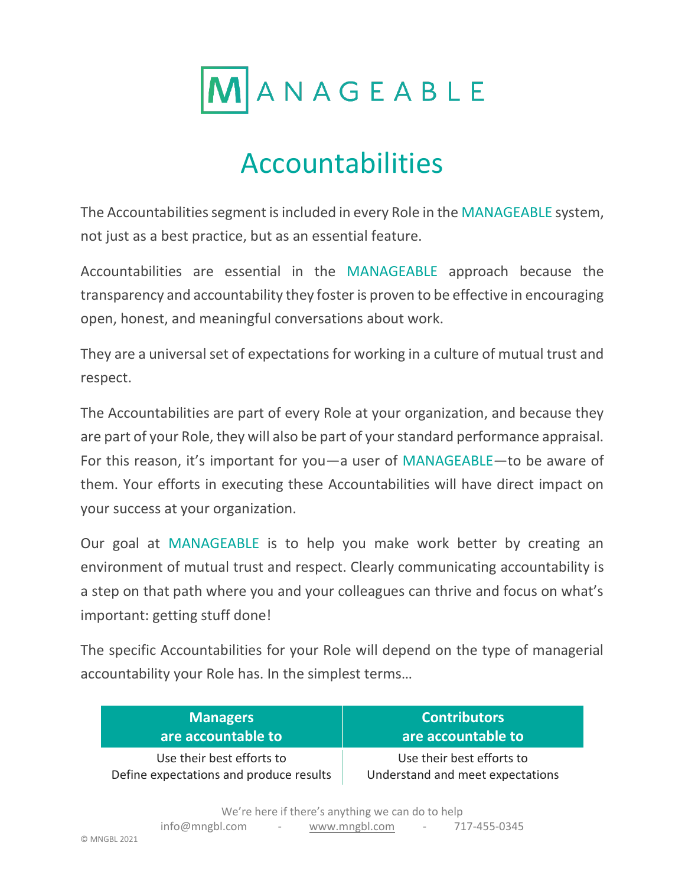

# Accountabilities

The Accountabilities segment is included in every Role in the MANAGEABLE system, not just as a best practice, but as an essential feature.

Accountabilities are essential in the MANAGEABLE approach because the transparency and accountability they foster is proven to be effective in encouraging open, honest, and meaningful conversations about work.

They are a universal set of expectations for working in a culture of mutual trust and respect.

The Accountabilities are part of every Role at your organization, and because they are part of your Role, they will also be part of your standard performance appraisal. For this reason, it's important for you—a user of MANAGEABLE—to be aware of them. Your efforts in executing these Accountabilities will have direct impact on your success at your organization.

Our goal at MANAGEABLE is to help you make work better by creating an environment of mutual trust and respect. Clearly communicating accountability is a step on that path where you and your colleagues can thrive and focus on what's important: getting stuff done!

The specific Accountabilities for your Role will depend on the type of managerial accountability your Role has. In the simplest terms…

| <b>Managers</b>                         | <b>Contributors</b>              |
|-----------------------------------------|----------------------------------|
| are accountable to                      | are accountable to               |
| Use their best efforts to               | Use their best efforts to        |
| Define expectations and produce results | Understand and meet expectations |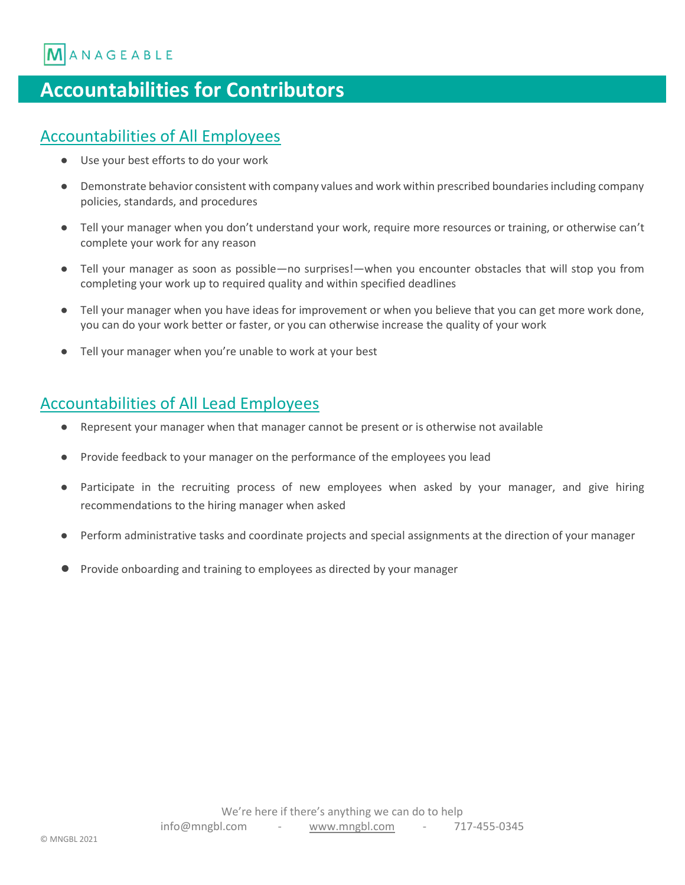ANAGEABLE

### **Accountabilities for Contributors**

#### Accountabilities of All Employees

- Use your best efforts to do your work
- Demonstrate behavior consistent with company values and work within prescribed boundaries including company policies, standards, and procedures
- Tell your manager when you don't understand your work, require more resources or training, or otherwise can't complete your work for any reason
- Tell your manager as soon as possible—no surprises!—when you encounter obstacles that will stop you from completing your work up to required quality and within specified deadlines
- Tell your manager when you have ideas for improvement or when you believe that you can get more work done, you can do your work better or faster, or you can otherwise increase the quality of your work
- Tell your manager when you're unable to work at your best

#### Accountabilities of All Lead Employees

- Represent your manager when that manager cannot be present or is otherwise not available
- Provide feedback to your manager on the performance of the employees you lead
- Participate in the recruiting process of new employees when asked by your manager, and give hiring recommendations to the hiring manager when asked
- Perform administrative tasks and coordinate projects and special assignments at the direction of your manager
- Provide onboarding and training to employees as directed by your manager